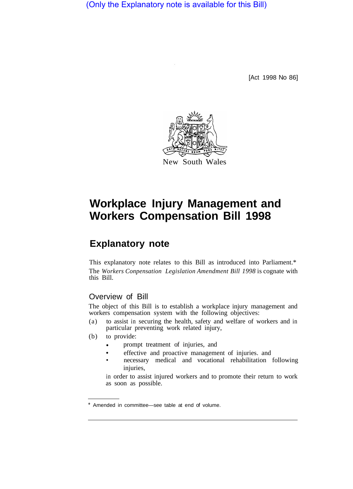(Only the Explanatory note is available for this Bill)

[Act 1998 No 86]



# **Workplace Injury Management and Workers Compensation Bill 1998**

## **Explanatory note**

This explanatory note relates to this Bill as introduced into Parliament.\* The *Workers Conpensation Legislation Amendment Bill 1998* is cognate with this Bill.

## Overview of Bill

The object of this Bill is to establish a workplace injury management and workers compensation system with the following objectives:

- (a) to assist in securing the health, safety and welfare of workers and in particular preventing work related injury,
- (b) to provide:
	- prompt treatment of injuries, and •
	- effective and proactive management of injuries. and
	- necessary medical and vocational rehabilitation following injuries,

in order to assist injured workers and to promote their return to work as soon as possible.

<sup>\*</sup> Amended in committee—see table at end of volume.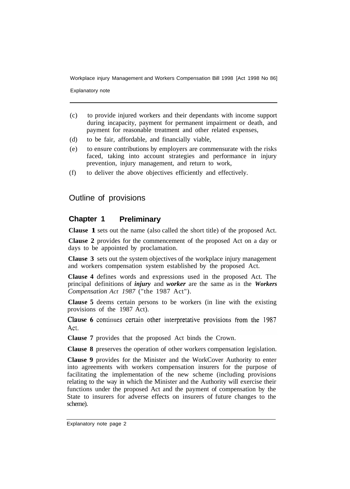Explanatory note

- (c) to provide injured workers and their dependants with income support during incapacity, payment for permanent impairment or death, and payment for reasonable treatment and other related expenses,
- (d) to be fair, affordable, and financially viable,
- (e) to ensure contributions by employers are commensurate with the risks faced, taking into account strategies and performance in injury prevention, injury management, and return to work,
- (f) to deliver the above objectives efficiently and effectively.

#### Outline of provisions

#### **Chapter 1 Preliminary**

**Clause 1** sets out the name (also called the short title) of the proposed Act.

**Clause 2** provides for the commencement of the proposed Act on a day or days to be appointed by proclamation.

**Clause 3** sets out the system objectives of the workplace injury management and workers compensation system established by the proposed Act.

**Clause 4** defines words and expressions used in the proposed Act. The principal definitions of *injury* and *worker* are the same as in the *Workers Compensation Act 1987* ("the 1987 Act").

**Clause 5** deems certain persons to be workers (in line with the existing provisions of the 1987 Act).

Clause 6 continues certain other interpretative provisions from the 1987 Act.

**Clause 7** provides that the proposed Act binds the Crown.

**Clause 8** preserves the operation of other workers compensation legislation.

**Clause 9** provides for the Minister and the WorkCover Authority to enter into agreements with workers compensation insurers for the purpose of facilitating the implementation of the new scheme (including provisions relating to the way in which the Minister and the Authority will exercise their functions under the proposed Act and the payment of compensation by the State to insurers for adverse effects on insurers of future changes to the scheme).

Explanatory note page 2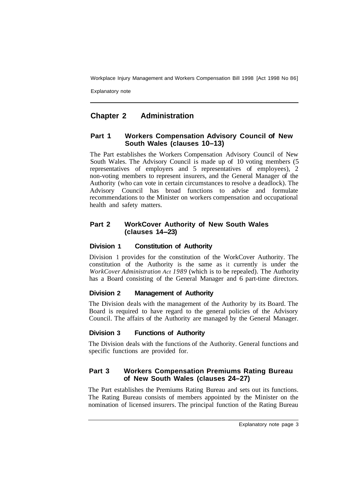Explanatory note

## **Chapter 2 Administration**

#### **Part 1 Workers Compensation Advisory Council of New South Wales (clauses 10–13)**

The Part establishes the Workers Compensation Advisory Council of New South Wales. The Advisory Council is made up of 10 voting members (5 representatives of employers and 5 representatives of employees), 2 non-voting members to represent insurers, and the General Manager of the Authority (who can vote in certain circumstances to resolve a deadlock). The Advisory Council has broad functions to advise and formulate recommendations to the Minister on workers compensation and occupational health and safety matters.

#### **Part 2 WorkCover Authority of New South Wales (clauses 14-23)**

#### **Division 1 Constitution of Authority**

Division 1 provides for the constitution of the WorkCover Authority. The constitution of the Authority is the same as it currently is under the *WorkCover Administration Act 1989* (which is to be repealed). The Authority has a Board consisting of the General Manager and 6 part-time directors.

#### **Division 2 Management of Authority**

The Division deals with the management of the Authority by its Board. The Board is required to have regard to the general policies of the Advisory Council. The affairs of the Authority are managed by the General Manager.

#### **Division 3 Functions of Authority**

The Division deals with the functions of the Authority. General functions and specific functions are provided for.

#### **Part 3 Workers Compensation Premiums Rating Bureau of New South Wales (clauses 24–27)**

The Part establishes the Premiums Rating Bureau and sets out its functions. The Rating Bureau consists of members appointed by the Minister on the nomination of licensed insurers. The principal function of the Rating Bureau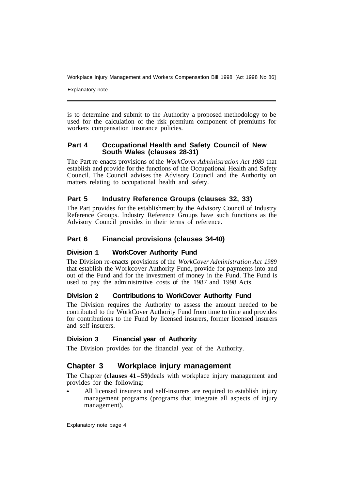Explanatory note

is to determine and submit to the Authority a proposed methodology to be used for the calculation of the risk premium component of premiums for workers compensation insurance policies.

#### **Part 4 Occupational Health and Safety Council of New South Wales (clauses 28-31)**

The Part re-enacts provisions of the *WorkCover Administration Act 1989* that establish and provide for the functions of the Occupational Health and Safety Council. The Council advises the Advisory Council and the Authority on matters relating to occupational health and safety.

## **Part 5 Industry Reference Groups (clauses 32, 33)**

The Part provides for the establishment by the Advisory Council of Industry Reference Groups. Industry Reference Groups have such functions as the Advisory Council provides in their terms of reference.

## **Part 6 Financial provisions (clauses 34-40)**

#### **Division 1 WorkCover Authority Fund**

The Division re-enacts provisions of the *WorkCover Administration Act 1989*  that establish the Workcover Authority Fund, provide for payments into and out of the Fund and for the investment of money in the Fund. The Fund is used to pay the administrative costs of the 1987 and 1998 Acts.

#### **Division 2 Contributions to WorkCover Authority Fund**

The Division requires the Authority to assess the amount needed to be contributed to the WorkCover Authority Fund from time to time and provides for contributions to the Fund by licensed insurers, former licensed insurers and self-insurers.

#### **Division 3 Financial year of Authority**

The Division provides for the financial year of the Authority.

## **Chapter 3 Workplace injury management**

The Chapter **(clauses 41-59)** deals with workplace injury management and provides for the following:

All licensed insurers and self-insurers are required to establish injury management programs (programs that integrate all aspects of injury management).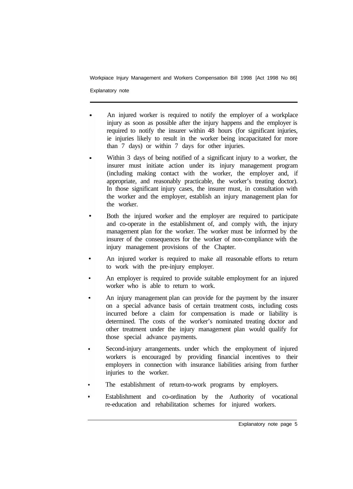Explanatory note

- An injured worker is required to notify the employer of a workplace injury as soon as possible after the injury happens and the employer is required to notify the insurer within 48 hours (for significant injuries, ie injuries likely to result in the worker being incapacitated for more than 7 days) or within 7 days for other injuries.
- Within 3 days of being notified of a significant injury to a worker, the  $\bullet$ insurer must initiate action under its injury management program (including making contact with the worker, the employer and, if appropriate, and reasonably practicable, the worker's treating doctor). In those significant injury cases, the insurer must, in consultation with the worker and the employer, establish an injury management plan for the worker.
- Both the injured worker and the employer are required to participate and co-operate in the establishment of, and comply with, the injury management plan for the worker. The worker must be informed by the insurer of the consequences for the worker of non-compliance with the injury management provisions of the Chapter.
- An injured worker is required to make all reasonable efforts to return  $\bullet$ to work with the pre-injury employer.
- An employer is required to provide suitable employment for an injured worker who is able to return to work.
- An injury management plan can provide for the payment by the insurer on a special advance basis of certain treatment costs, including costs incurred before a claim for compensation is made or liability is determined. The costs of the worker's nominated treating doctor and other treatment under the injury management plan would qualify for those special advance payments.
- Second-injury arrangements. under which the employment of injured workers is encouraged by providing financial incentives to their employers in connection with insurance liabilities arising from further injuries to the worker.
- The establishment of return-to-work programs by employers.
- Establishment and co-ordination by the Authority of vocational re-education and rehabilitation schemes for injured workers.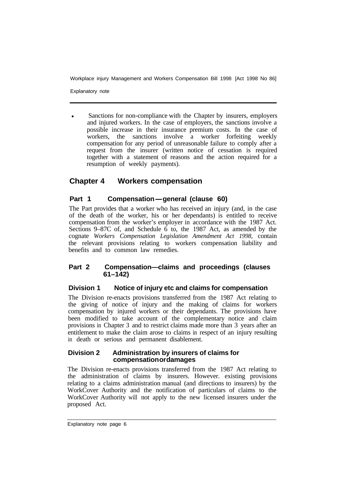Explanatory note

Sanctions for non-compliance with the Chapter by insurers, employers and injured workers. In the case of employers, the sanctions involve a possible increase in their insurance premium costs. In the case of workers, the sanctions involve a worker forfeiting weekly compensation for any period of unreasonable failure to comply after a request from the insurer (written notice of cessation is required together with a statement of reasons and the action required for a resumption of weekly payments). •

## **Chapter 4 Workers compensation**

## Part 1 Compensation-general (clause 60)

The Part provides that a worker who has received an injury (and, in the case of the death of the worker, his or her dependants) is entitled to receive compensation from the worker's employer in accordance with the 1987 Act. Sections 9–87C of, and Schedule 6 to, the 1987 Act, as amended by the cognate *Workers Compensation Legislation Amendment Act 1998,* contain the relevant provisions relating to workers compensation liability and benefits and to common law remedies.

#### **Part 2 Compensation—claims and proceedings (clauses 61–142)**

#### **Division 1 Notice of injury etc and claims for compensation**

The Division re-enacts provisions transferred from the 1987 Act relating to the giving of notice of injury and the making of claims for workers compensation by injured workers or their dependants. The provisions have been modified to take account of the complementary notice and claim provisions in Chapter 3 and to restrict claims made more than 3 years after an entitlement to make the claim arose to claims in respect of an injury resulting in death or serious and permanent disablement.

#### **Division 2 Administration by insurers of claims for compensation or damages**

The Division re-enacts provisions transferred from the 1987 Act relating to the administration of claims by insurers. However. existing provisions relating to a claims administration manual (and directions to insurers) by the WorkCover Authority and the notification of particulars of claims to the WorkCover Authority will not apply to the new licensed insurers under the proposed Act.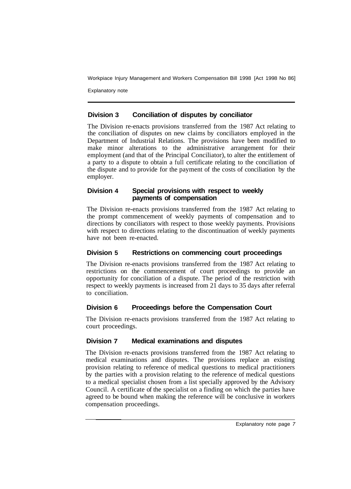Explanatory note

## **Division 3 Conciliation of disputes by conciliator**

The Division re-enacts provisions transferred from the 1987 Act relating to the conciliation of disputes on new claims by conciliators employed in the Department of Industrial Relations. The provisions have been modified to make minor alterations to the administrative arrangement for their employment (and that of the Principal Conciliator), to alter the entitlement of a party to a dispute to obtain a full certificate relating to the conciliation of the dispute and to provide for the payment of the costs of conciliation by the employer.

#### **Division 4 Special provisions with respect to weekly payments of compensation**

The Division re-enacts provisions transferred from the 1987 Act relating to the prompt commencement of weekly payments of compensation and to directions by conciliators with respect to those weekly payments. Provisions with respect to directions relating to the discontinuation of weekly payments have not been re-enacted.

## **Division 5 Restrictions on commencing court proceedings**

The Division re-enacts provisions transferred from the 1987 Act relating to restrictions on the commencement of court proceedings to provide an opportunity for conciliation of a dispute. The period of the restriction with respect to weekly payments is increased from 21 days to 35 days after referral to conciliation.

## **Division 6 Proceedings before the Compensation Court**

The Division re-enacts provisions transferred from the 1987 Act relating to court proceedings.

## **Division 7 Medical examinations and disputes**

The Division re-enacts provisions transferred from the 1987 Act relating to medical examinations and disputes. The provisions replace an existing provision relating to reference of medical questions to medical practitioners by the parties with a provision relating to the reference of medical questions to a medical specialist chosen from a list specially approved by the Advisory Council. A certificate of the specialist on a finding on which the parties have agreed to be bound when making the reference will be conclusive in workers compensation proceedings.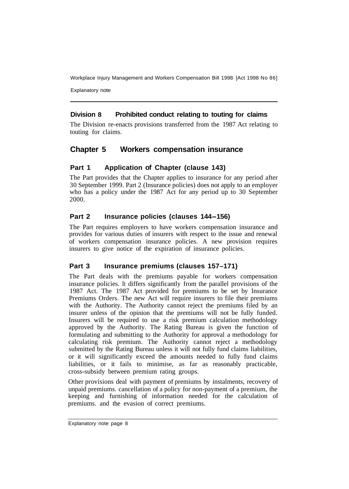Explanatory note

## **Division 8 Prohibited conduct relating to touting for claims**

The Division re-enacts provisions transferred from the 1987 Act relating to touting for claims.

## **Chapter 5 Workers compensation insurance**

## **Part 1 Application of Chapter (clause 143)**

The Part provides that the Chapter applies to insurance for any period after 30 September 1999. Part 2 (Insurance policies) does not apply to an employer who has a policy under the 1987 Act for any period up to 30 September 2000.

#### **Part 2 Insurance policies (clauses 144-156)**

The Part requires employers to have workers compensation insurance and provides for various duties of insurers with respect to the issue and renewal of workers compensation insurance policies. A new provision requires insurers to give notice of the expiration of insurance policies.

#### **Part 3 Insurance premiums (clauses 157–171)**

The Part deals with the premiums payable for workers compensation insurance policies. It differs significantly from the parallel provisions of the 1987 Act. The 1987 Act provided for premiums to be set by Insurance Premiums Orders. The new Act will require insurers to file their premiums with the Authority. The Authority cannot reject the premiums filed by an insurer unless of the opinion that the premiums will not be fully funded. Insurers will be required to use a risk premium calculation methodology approved by the Authority. The Rating Bureau is given the function of formulating and submitting to the Authority for approval a methodology for calculating risk premium. The Authority cannot reject a methodology submitted by the Rating Bureau unless it will not fully fund claims liabilities, or it will significantly exceed the amounts needed to fully fund claims liabilities, or it fails to minimise, as far as reasonably practicable, cross-subsidy between premium rating groups.

Other provisions deal with payment of premiums by instalments, recovery of unpaid premiums. cancellation of a policy for non-payment of a premium, the keeping and furnishing of information needed for the calculation of premiums. and the evasion of correct premiums.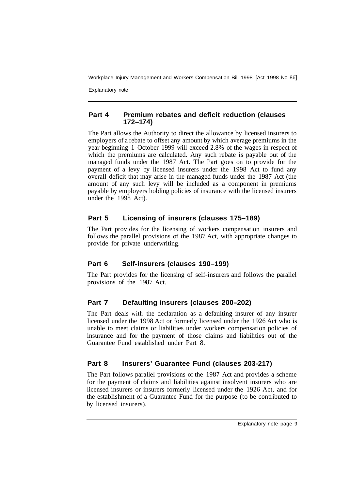Explanatory note

#### **Part 4 Premium rebates and deficit reduction (clauses 172–1 74)**

The Part allows the Authority to direct the allowance by licensed insurers to employers of a rebate to offset any amount by which average premiums in the year beginning 1 October 1999 will exceed 2.8% of the wages in respect of which the premiums are calculated. Any such rebate is payable out of the managed funds under the 1987 Act. The Part goes on to provide for the payment of a levy by licensed insurers under the 1998 Act to fund any overall deficit that may arise in the managed funds under the 1987 Act (the amount of any such levy will be included as a component in premiums payable by employers holding policies of insurance with the licensed insurers under the 1998 Act).

## **Part 5 Licensing of insurers (clauses 175–189)**

The Part provides for the licensing of workers compensation insurers and follows the parallel provisions of the 1987 Act, with appropriate changes to provide for private underwriting.

#### **Part 6 Self-insurers (clauses 190–199)**

The Part provides for the licensing of self-insurers and follows the parallel provisions of the 1987 Act.

## **Part 7 Defaulting insurers (clauses 200-202)**

The Part deals with the declaration as a defaulting insurer of any insurer licensed under the 1998 Act or formerly licensed under the 1926 Act who is unable to meet claims or liabilities under workers compensation policies of insurance and for the payment of those claims and liabilities out of the Guarantee Fund established under Part 8.

## **Part 8 Insurers' Guarantee Fund (clauses 203-217)**

The Part follows parallel provisions of the 1987 Act and provides a scheme for the payment of claims and liabilities against insolvent insurers who are licensed insurers or insurers formerly licensed under the 1926 Act, and for the establishment of a Guarantee Fund for the purpose (to be contributed to by licensed insurers).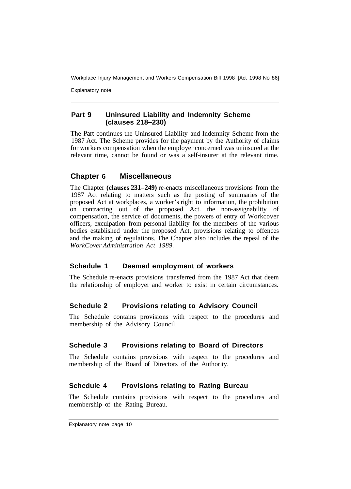Explanatory note

#### **Part 9 Uninsured Liability and Indemnity Scheme (clauses 218–230)**

The Part continues the Uninsured Liability and Indemnity Scheme from the 1987 Act. The Scheme provides for the payment by the Authority of claims for workers compensation when the employer concerned was uninsured at the relevant time, cannot be found or was a self-insurer at the relevant time.

## **Chapter 6 Miscellaneous**

The Chapter **(clauses 231-249)** re-enacts miscellaneous provisions from the 1987 Act relating to matters such as the posting of summaries of the proposed Act at workplaces, a worker's right to information, the prohibition on contracting out of the proposed Act. the non-assignability of compensation, the service of documents, the powers of entry of Workcover officers, exculpation from personal liability for the members of the various bodies established under the proposed Act, provisions relating to offences and the making of regulations. The Chapter also includes the repeal of the *WorkCover Administration Act 1989.* 

#### **Schedule 1 Deemed employment of workers**

The Schedule re-enacts provisions transferred from the 1987 Act that deem the relationship of employer and worker to exist in certain circumstances.

#### **Schedule 2 Provisions relating to Advisory Council**

The Schedule contains provisions with respect to the procedures and membership of the Advisory Council.

#### **Schedule 3 Provisions relating to Board of Directors**

The Schedule contains provisions with respect to the procedures and membership of the Board of Directors of the Authority.

#### **Schedule 4 Provisions relating to Rating Bureau**

The Schedule contains provisions with respect to the procedures and membership of the Rating Bureau.